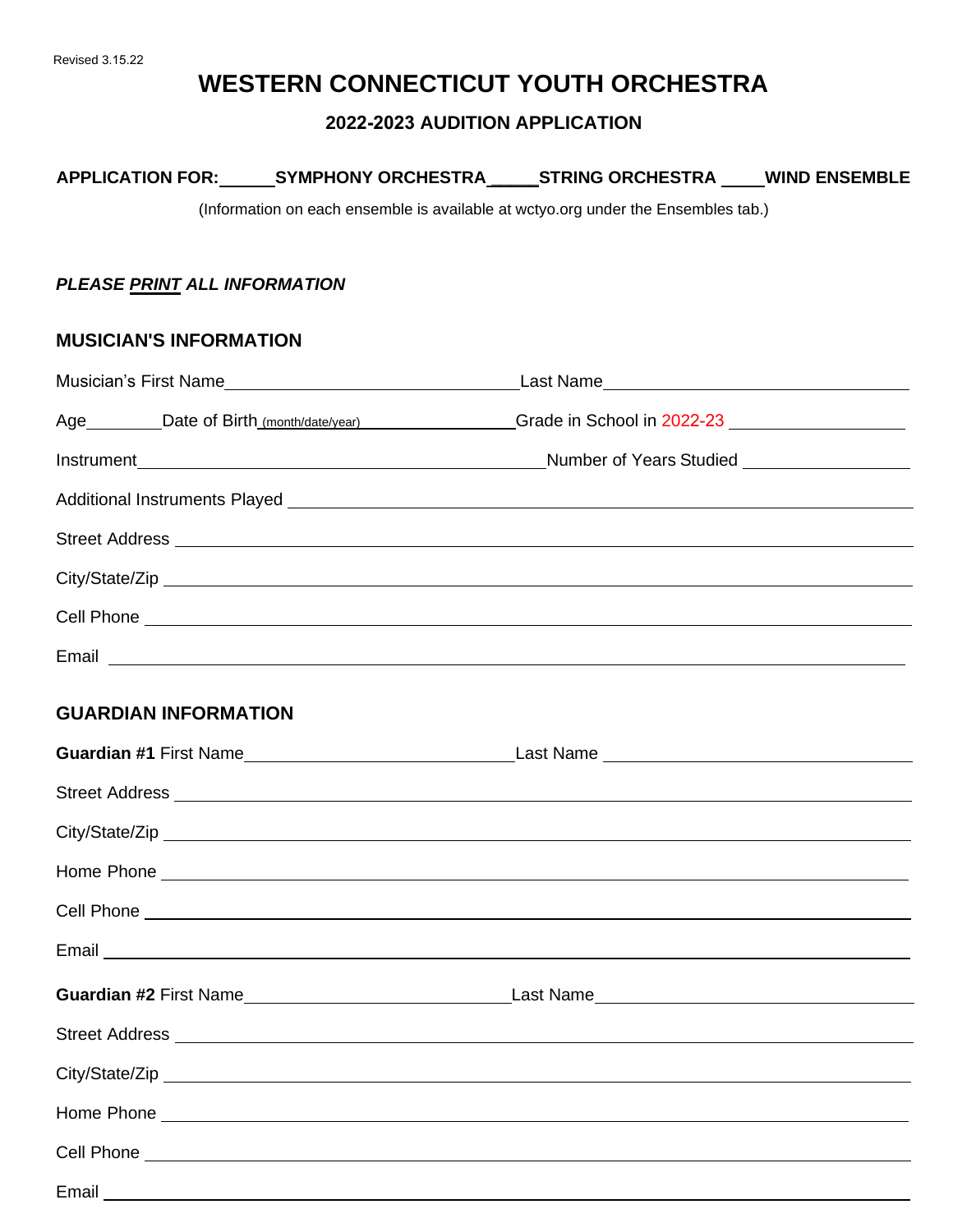# **WESTERN CONNECTICUT YOUTH ORCHESTRA**

### **2022-2023 AUDITION APPLICATION**

| <b>APPLICATION FOR:</b> | <b>SYMPHONY ORCHESTRA</b> | <b>STRING ORCHESTRA</b> | <b>WIND ENSEMBLE</b> |
|-------------------------|---------------------------|-------------------------|----------------------|
|                         |                           |                         |                      |

(Information on each ensemble is available at wctyo.org under the Ensembles tab.)

### *PLEASE PRINT ALL INFORMATION*

### **MUSICIAN'S INFORMATION**

|  | Age ________Date of Birth (month/date/year) ______________Grade in School in 2022-23 |  |
|--|--------------------------------------------------------------------------------------|--|
|  |                                                                                      |  |
|  |                                                                                      |  |
|  |                                                                                      |  |
|  |                                                                                      |  |
|  |                                                                                      |  |
|  |                                                                                      |  |
|  |                                                                                      |  |

# **GUARDIAN INFORMATION**

| Guardian #1 First Name                                                                                                                                                                                                         |  |
|--------------------------------------------------------------------------------------------------------------------------------------------------------------------------------------------------------------------------------|--|
|                                                                                                                                                                                                                                |  |
|                                                                                                                                                                                                                                |  |
|                                                                                                                                                                                                                                |  |
|                                                                                                                                                                                                                                |  |
| Email Land Construction and the construction of the construction of the construction of the construction of the construction of the construction of the construction of the construction of the construction of the constructi |  |
|                                                                                                                                                                                                                                |  |
|                                                                                                                                                                                                                                |  |
|                                                                                                                                                                                                                                |  |
|                                                                                                                                                                                                                                |  |
|                                                                                                                                                                                                                                |  |
|                                                                                                                                                                                                                                |  |